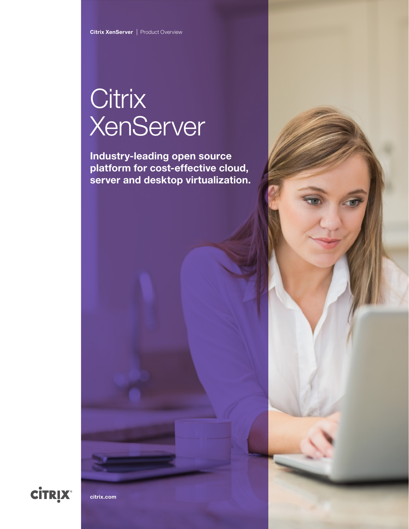# **Citrix XenServer**

Industry-leading open source platform for cost-effective cloud, server and desktop virtualization.



[citrix.com](http://www.citrix.com)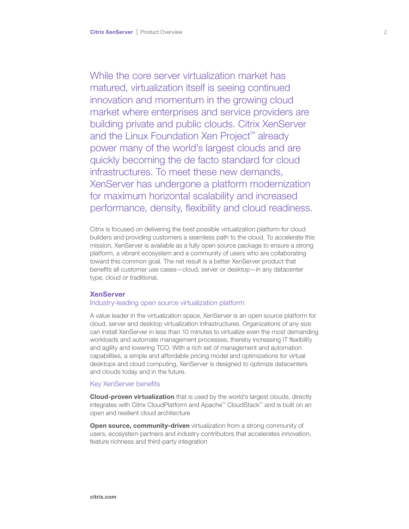While the core server virtualization market has matured, virtualization itself is seeing continued innovation and momentum in the growing cloud market where enterprises and service providers are building private and public clouds. Citrix XenServer and the Linux Foundation Xen Project™ already power many of the world's largest clouds and are quickly becoming the de facto standard for cloud infrastructures. To meet these new demands, XenServer has undergone a platform modernization for maximum horizontal scalability and increased performance, density, flexibility and cloud readiness.

Citrix is focused on delivering the best possible virtualization platform for cloud builders and providing customers a seamless path to the cloud. To accelerate this mission, XenServer is available as a fully open source package to ensure a strong platform, a vibrant ecosystem and a community of users who are collaborating toward this common goal. The net result is a better XenServer product that benefits all customer use cases—cloud, server or desktop—in any datacenter type, cloud or traditional.

# **XenServer**

# Industry-leading open source virtualization platform

A value leader in the virtualization space, XenServer is an open source platform for cloud, server and desktop virtualization infrastructures. Organizations of any size can install XenServer in less than 10 minutes to virtualize even the most demanding workloads and automate management processes, thereby increasing IT flexibility and agility and lowering TCO. With a rich set of management and automation capabilities, a simple and affordable pricing model and optimizations for virtual desktops and cloud computing, XenServer is designed to optimize datacenters and clouds today and in the future.

# Key XenServer benefits

Cloud-proven virtualization that is used by the world's largest clouds, directly integrates with Citrix CloudPlatform and Apache™ CloudStack™ and is built on an open and resilient cloud architecture

Open source, community-driven virtualization from a strong community of users, ecosystem partners and industry contributors that accelerates innovation, feature richness and third-party integration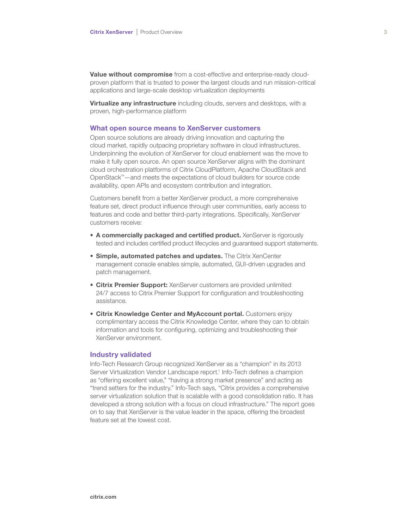Value without compromise from a cost-effective and enterprise-ready cloudproven platform that is trusted to power the largest clouds and run mission-critical applications and large-scale desktop virtualization deployments

**Virtualize any infrastructure** including clouds, servers and desktops, with a proven, high-performance platform

# What open source means to XenServer customers

Open source solutions are already driving innovation and capturing the cloud market, rapidly outpacing proprietary software in cloud infrastructures. Underpinning the evolution of XenServer for cloud enablement was the move to make it fully open source. An open source XenServer aligns with the dominant cloud orchestration platforms of Citrix CloudPlatform, Apache CloudStack and OpenStack™—and meets the expectations of cloud builders for source code availability, open APIs and ecosystem contribution and integration.

Customers benefit from a better XenServer product, a more comprehensive feature set, direct product influence through user communities, early access to features and code and better third-party integrations. Specifically, XenServer customers receive:

- A commercially packaged and certified product. XenServer is rigorously tested and includes certified product lifecycles and guaranteed support statements.
- **Simple, automated patches and updates.** The Citrix XenCenter management console enables simple, automated, GUI-driven upgrades and patch management.
- Citrix Premier Support: XenServer customers are provided unlimited 24/7 access to Citrix Premier Support for configuration and troubleshooting assistance.
- Citrix Knowledge Center and MyAccount portal. Customers enjoy complimentary access the Citrix Knowledge Center, where they can to obtain information and tools for configuring, optimizing and troubleshooting their XenServer environment.

#### Industry validated

Info-Tech Research Group recognized XenServer as a "champion" in its 2013 Server Virtualization Vendor Landscape report.<sup>1</sup> Info-Tech defines a champion as "offering excellent value," "having a strong market presence" and acting as "trend setters for the industry." Info-Tech says, "Citrix provides a comprehensive server virtualization solution that is scalable with a good consolidation ratio. It has developed a strong solution with a focus on cloud infrastructure." The report goes on to say that XenServer is the value leader in the space, offering the broadest feature set at the lowest cost.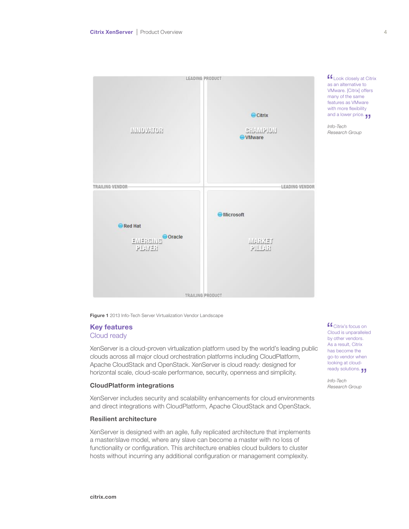

many of the same features as VMware with more flexibility and a lower price. Info-Tech Research Group

**Look closely at Citrix** as an alternative to VMware. [Citrix] offers

Figure 1 2013 Info-Tech Server Virtualization Vendor Landscape

# Key features Cloud ready

XenServer is a cloud-proven virtualization platform used by the world's leading public clouds across all major cloud orchestration platforms including CloudPlatform, Apache CloudStack and OpenStack. XenServer is cloud ready: designed for horizontal scale, cloud-scale performance, security, openness and simplicity.

# CloudPlatform integrations

XenServer includes security and scalability enhancements for cloud environments and direct integrations with CloudPlatform, Apache CloudStack and OpenStack.

# Resilient architecture

XenServer is designed with an agile, fully replicated architecture that implements a master/slave model, where any slave can become a master with no loss of functionality or configuration. This architecture enables cloud builders to cluster hosts without incurring any additional configuration or management complexity.

**C** Citrix's focus on Cloud is unparalleled by other vendors. As a result, Citrix has become the go-to vendor when looking at cloudready solutions.

Info-Tech Research Group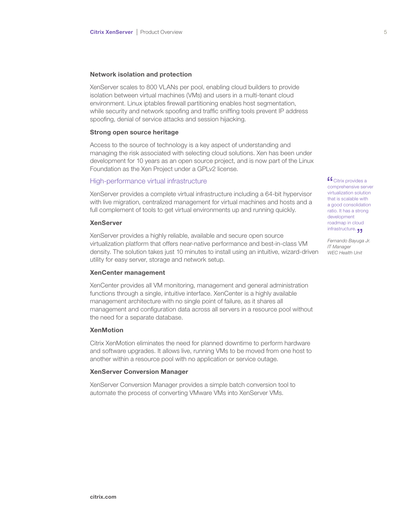# Network isolation and protection

XenServer scales to 800 VLANs per pool, enabling cloud builders to provide isolation between virtual machines (VMs) and users in a multi-tenant cloud environment. Linux iptables firewall partitioning enables host segmentation, while security and network spoofing and traffic sniffing tools prevent IP address spoofing, denial of service attacks and session hijacking.

# Strong open source heritage

Access to the source of technology is a key aspect of understanding and managing the risk associated with selecting cloud solutions. Xen has been under development for 10 years as an open source project, and is now part of the Linux Foundation as the Xen Project under a GPLv2 license.

#### High-performance virtual infrastructure

XenServer provides a complete virtual infrastructure including a 64-bit hypervisor with live migration, centralized management for virtual machines and hosts and a full complement of tools to get virtual environments up and running quickly.

# XenServer

XenServer provides a highly reliable, available and secure open source virtualization platform that offers near-native performance and best-in-class VM density. The solution takes just 10 minutes to install using an intuitive, wizard-driven utility for easy server, storage and network setup.

#### XenCenter management

XenCenter provides all VM monitoring, management and general administration functions through a single, intuitive interface. XenCenter is a highly available management architecture with no single point of failure, as it shares all management and configuration data across all servers in a resource pool without the need for a separate database.

# **XenMotion**

Citrix XenMotion eliminates the need for planned downtime to perform hardware and software upgrades. It allows live, running VMs to be moved from one host to another within a resource pool with no application or service outage.

#### XenServer Conversion Manager

XenServer Conversion Manager provides a simple batch conversion tool to automate the process of converting VMware VMs into XenServer VMs.

 $f_{\text{Citrix}$  provides a comprehensive server virtualization solution that is scalable with a good consolidation ratio. It has a strong development roadmap in cloud infrastructure.

Fernando Bayuga Jr. IT Manager WEC Health Unit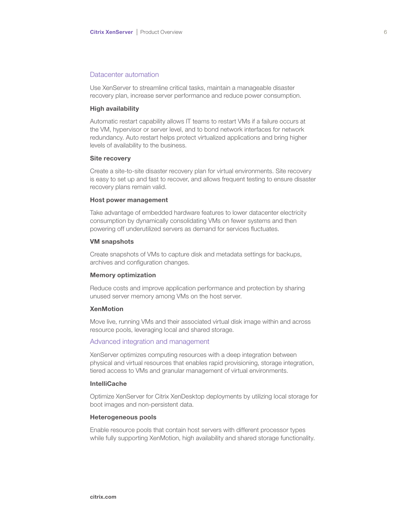# Datacenter automation

Use XenServer to streamline critical tasks, maintain a manageable disaster recovery plan, increase server performance and reduce power consumption.

#### High availability

Automatic restart capability allows IT teams to restart VMs if a failure occurs at the VM, hypervisor or server level, and to bond network interfaces for network redundancy. Auto restart helps protect virtualized applications and bring higher levels of availability to the business.

# Site recovery

Create a site-to-site disaster recovery plan for virtual environments. Site recovery is easy to set up and fast to recover, and allows frequent testing to ensure disaster recovery plans remain valid.

#### Host power management

Take advantage of embedded hardware features to lower datacenter electricity consumption by dynamically consolidating VMs on fewer systems and then powering off underutilized servers as demand for services fluctuates.

#### VM snapshots

Create snapshots of VMs to capture disk and metadata settings for backups, archives and configuration changes.

# Memory optimization

Reduce costs and improve application performance and protection by sharing unused server memory among VMs on the host server.

# **XenMotion**

Move live, running VMs and their associated virtual disk image within and across resource pools, leveraging local and shared storage.

# Advanced integration and management

XenServer optimizes computing resources with a deep integration between physical and virtual resources that enables rapid provisioning, storage integration, tiered access to VMs and granular management of virtual environments.

# IntelliCache

Optimize XenServer for Citrix XenDesktop deployments by utilizing local storage for boot images and non-persistent data.

#### Heterogeneous pools

Enable resource pools that contain host servers with different processor types while fully supporting XenMotion, high availability and shared storage functionality.